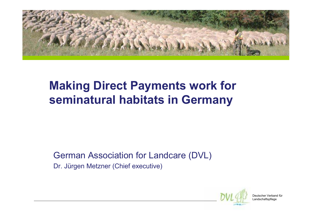

## **Making Direct Payments work for seminatural habitats in Germany**

German Association for Landcare (DVL)Dr. Jürgen Metzner (Chief executive)

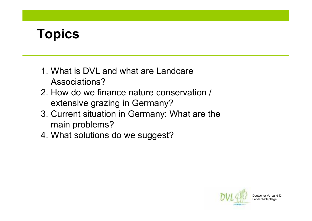# **Topics**

- 1. What is DVL and what are Landcare Associations?
- 2. How do we finance nature conservation / extensive grazing in Germany?
- 3. Current situation in Germany: What are the main problems?
- 4. What solutions do we suggest?

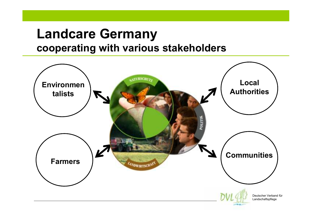## **Landcare Germanycooperating with various stakeholders**

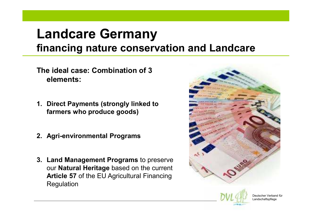# **Landcare Germanyfinancing nature conservation and Landcare**

**The ideal case: Combination of 3 elements:**

- **1. Direct Payments (strongly linked to farmers who produce goods)**
- **2. Agri-environmental Programs**
- **3. Land Management Programs** to preserve our **Natural Heritage** based on the current **Article 57** of the EU Agricultural Financing **Regulation**



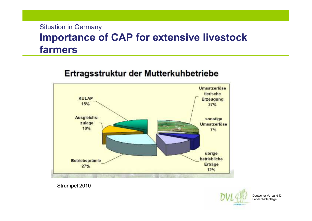### Situation in Germany **Importance of CAP for extensive livestock farmers**



#### Ertragsstruktur der Mutterkuhbetriebe

Strümpel 2010

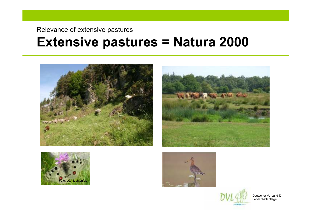#### Relevance of extensive pastures

## **Extensive pastures = Natura 2000**







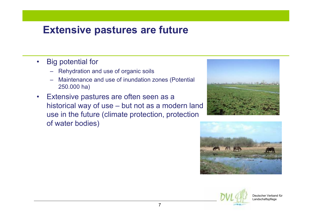### **Extensive pastures are future**

- • Big potential for
	- Rehydration and use of organic soils
	- – Maintenance and use of inundation zones (Potential 250.000 ha)
- • Extensive pastures are often seen as a historical way of use – but not as a modern land use in the future (climate protection, protection of water bodies)





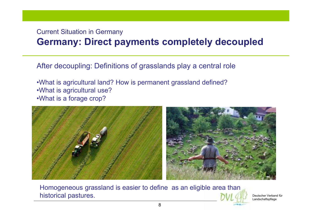#### Current Situation in Germany**Germany: Direct payments completely decoupled**

After decoupling: Definitions of grasslands play a central role

•What is agricultural land? How is permanent grassland defined?•What is agricultural use?•What is a forage crop?



Homogeneous grassland is easier to define as an eligible area than historical pastures.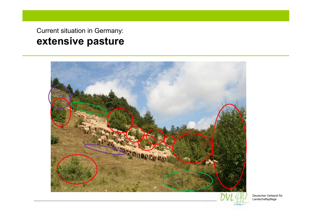Current situation in Germany: **extensive pasture**

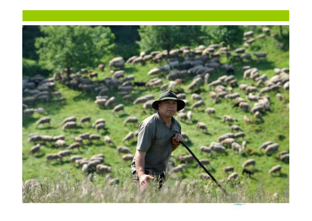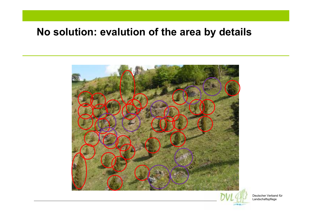### **No solution: evalution of the area by details**



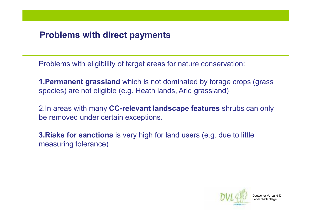#### **Problems with direct payments**

Problems with eligibility of target areas for nature conservation:

**1.Permanent grassland** which is not dominated by forage crops (grass species) are not eligible (e.g. Heath lands, Arid grassland)

2.In areas with many **CC-relevant landscape features** shrubs can only be removed under certain exceptions.

**3.Risks for sanctions** is very high for land users (e.g. due to little measuring tolerance)

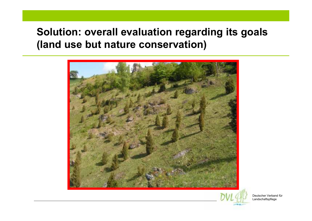### **Solution: overall evaluation regarding its goals (land use but nature conservation)**



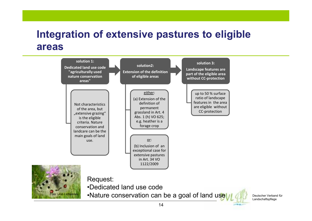### **Integration of extensive pastures to eligible areas**





Request:

•Dedicated land use code

•Nature conservation can be a goal of land use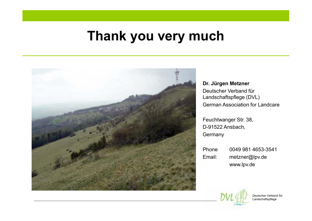## **Thank you very much**



**Dr. Jürgen Metzner** Deutscher Verband für Landschaftspflege (DVL)German Association for Landcare

Feuchtwanger Str. 38, D-91522 Ansbach,**Germany** 

Phone 0049 981 4653-3541 Email: metzner@lpv.de www.lpv.de

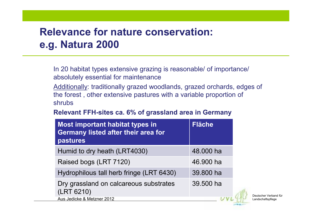### **Relevance for nature conservation: e.g. Natura 2000**

In 20 habitat types extensive grazing is reasonable/ of importance/ absolutely essential for maintenance

Additionally: traditionally grazed woodlands, grazed orchards, edges of the forest , other extensive pastures with a variable proportion of shrubs

#### **Relevant FFH-sites ca. 6% of grassland area in Germany**

| Most important habitat types in<br><b>Germany listed after their area for</b><br>pastures | <b>Fläche</b> |  |
|-------------------------------------------------------------------------------------------|---------------|--|
| Humid to dry heath (LRT4030)                                                              | 48.000 ha     |  |
| Raised bogs (LRT 7120)                                                                    | 46.900 ha     |  |
| Hydrophilous tall herb fringe (LRT 6430)                                                  | 39.800 ha     |  |
| Dry grassland on calcareous substrates<br>(LRT 6210)                                      | 39,500 ha     |  |
| Aus Jedicke & Metzner 2012                                                                |               |  |